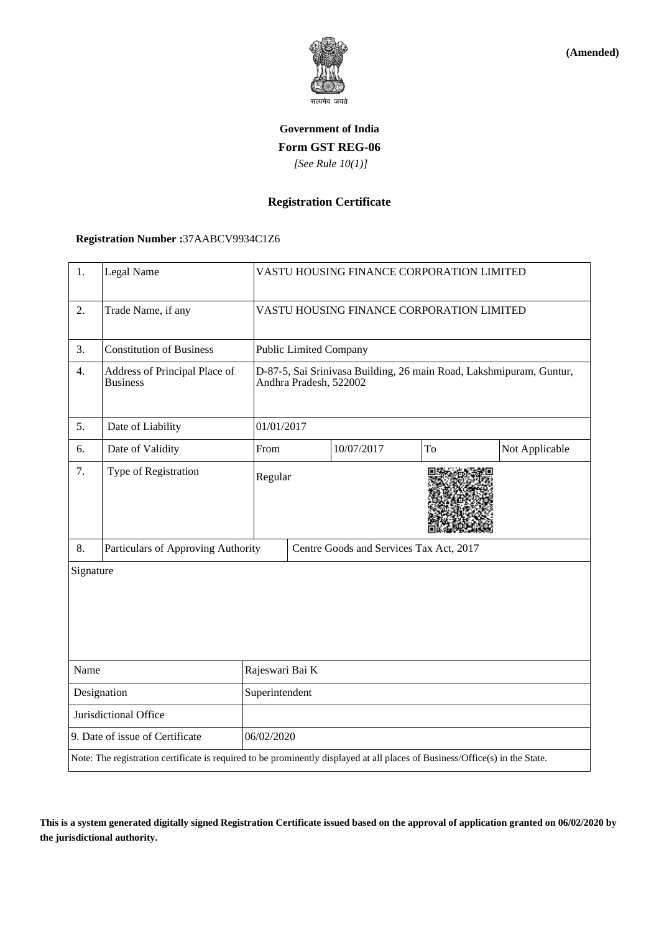

**(Amended)**

# **Government of India Form GST REG-06**  *[See Rule 10(1)]*

### **Registration Certificate**

### **Registration Number :**37AABCV9934C1Z6

| 1.                              | Legal Name                                                                                                                   |                 | VASTU HOUSING FINANCE CORPORATION LIMITED                                                     |            |    |                |  |
|---------------------------------|------------------------------------------------------------------------------------------------------------------------------|-----------------|-----------------------------------------------------------------------------------------------|------------|----|----------------|--|
| 2.                              | Trade Name, if any                                                                                                           |                 | VASTU HOUSING FINANCE CORPORATION LIMITED                                                     |            |    |                |  |
| 3.                              | <b>Constitution of Business</b>                                                                                              |                 | <b>Public Limited Company</b>                                                                 |            |    |                |  |
| 4.                              | Address of Principal Place of<br><b>Business</b>                                                                             |                 | D-87-5, Sai Srinivasa Building, 26 main Road, Lakshmipuram, Guntur,<br>Andhra Pradesh, 522002 |            |    |                |  |
| 5.                              | Date of Liability                                                                                                            |                 | 01/01/2017                                                                                    |            |    |                |  |
| 6.                              | Date of Validity                                                                                                             | From            |                                                                                               | 10/07/2017 | To | Not Applicable |  |
| 7.                              | Type of Registration                                                                                                         | Regular         |                                                                                               |            |    |                |  |
| 8.                              | Particulars of Approving Authority                                                                                           |                 | Centre Goods and Services Tax Act, 2017                                                       |            |    |                |  |
| Signature                       |                                                                                                                              |                 |                                                                                               |            |    |                |  |
| Name                            |                                                                                                                              | Rajeswari Bai K |                                                                                               |            |    |                |  |
| Designation                     |                                                                                                                              | Superintendent  |                                                                                               |            |    |                |  |
|                                 | Jurisdictional Office                                                                                                        |                 |                                                                                               |            |    |                |  |
| 9. Date of issue of Certificate |                                                                                                                              |                 | 06/02/2020                                                                                    |            |    |                |  |
|                                 | Note: The registration certificate is required to be prominently displayed at all places of Business/Office(s) in the State. |                 |                                                                                               |            |    |                |  |

**This is a system generated digitally signed Registration Certificate issued based on the approval of application granted on 06/02/2020 by the jurisdictional authority.**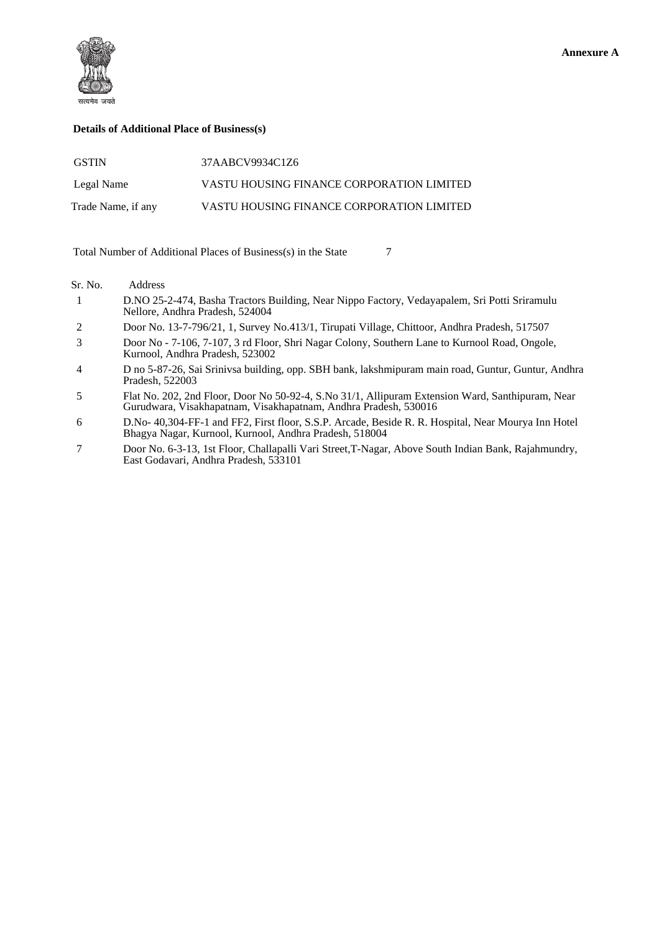

#### **Details of Additional Place of Business(s)**

| <b>GSTIN</b>       | 37AABCV9934C1Z6                           |
|--------------------|-------------------------------------------|
| Legal Name         | VASTU HOUSING FINANCE CORPORATION LIMITED |
| Trade Name, if any | VASTU HOUSING FINANCE CORPORATION LIMITED |

Total Number of Additional Places of Business(s) in the State 7

#### Sr. No. Address

- 1 D.NO 25-2-474, Basha Tractors Building, Near Nippo Factory, Vedayapalem, Sri Potti Sriramulu Nellore, Andhra Pradesh, 524004
- 2 Door No. 13-7-796/21, 1, Survey No.413/1, Tirupati Village, Chittoor, Andhra Pradesh, 517507
- 3 Door No 7-106, 7-107, 3 rd Floor, Shri Nagar Colony, Southern Lane to Kurnool Road, Ongole, Kurnool, Andhra Pradesh, 523002
- 4 D no 5-87-26, Sai Srinivsa building, opp. SBH bank, lakshmipuram main road, Guntur, Guntur, Andhra Pradesh, 522003
- 5 Flat No. 202, 2nd Floor, Door No 50-92-4, S.No 31/1, Allipuram Extension Ward, Santhipuram, Near Gurudwara, Visakhapatnam, Visakhapatnam, Andhra Pradesh, 530016
- 6 D.No- 40,304-FF-1 and FF2, First floor, S.S.P. Arcade, Beside R. R. Hospital, Near Mourya Inn Hotel Bhagya Nagar, Kurnool, Kurnool, Andhra Pradesh, 518004
- 7 Door No. 6-3-13, 1st Floor, Challapalli Vari Street,T-Nagar, Above South Indian Bank, Rajahmundry, East Godavari, Andhra Pradesh, 533101